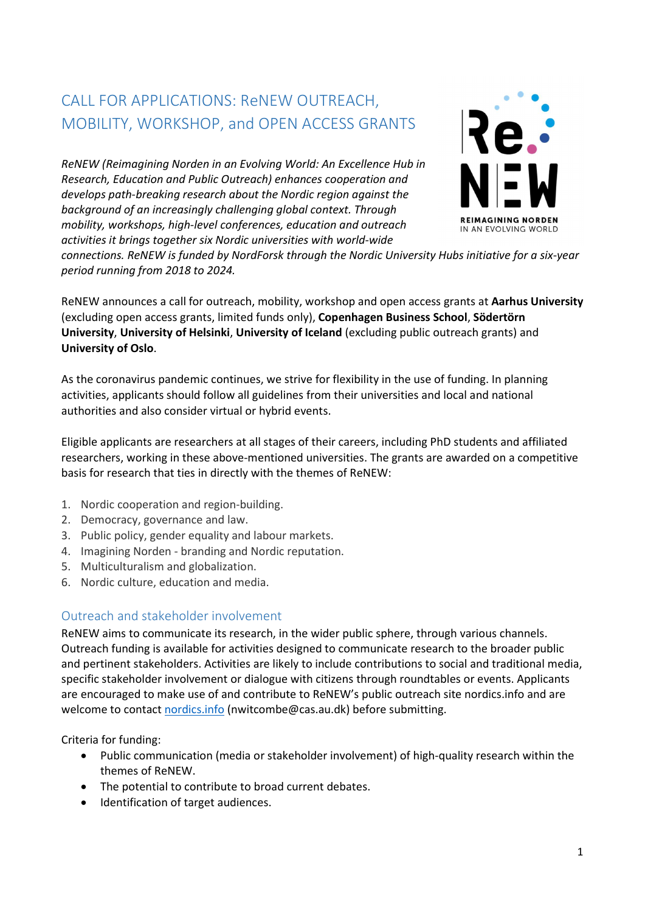# CALL FOR APPLICATIONS: ReNEW OUTREACH, MOBILITY, WORKSHOP, and OPEN ACCESS GRANTS

ReNEW (Reimagining Norden in an Evolving World: An Excellence Hub in Research, Education and Public Outreach) enhances cooperation and develops path-breaking research about the Nordic region against the background of an increasingly challenging global context. Through mobility, workshops, high-level conferences, education and outreach activities it brings together six Nordic universities with world-wide



connections. ReNEW is funded by NordForsk through the Nordic University Hubs initiative for a six-year period running from 2018 to 2024.

ReNEW announces a call for outreach, mobility, workshop and open access grants at Aarhus University (excluding open access grants, limited funds only), Copenhagen Business School, Södertörn University, University of Helsinki, University of Iceland (excluding public outreach grants) and University of Oslo.

As the coronavirus pandemic continues, we strive for flexibility in the use of funding. In planning activities, applicants should follow all guidelines from their universities and local and national authorities and also consider virtual or hybrid events.

Eligible applicants are researchers at all stages of their careers, including PhD students and affiliated researchers, working in these above-mentioned universities. The grants are awarded on a competitive basis for research that ties in directly with the themes of ReNEW:

- 1. Nordic cooperation and region-building.
- 2. Democracy, governance and law.
- 3. Public policy, gender equality and labour markets.
- 4. Imagining Norden branding and Nordic reputation.
- 5. Multiculturalism and globalization.
- 6. Nordic culture, education and media.

# Outreach and stakeholder involvement

ReNEW aims to communicate its research, in the wider public sphere, through various channels. Outreach funding is available for activities designed to communicate research to the broader public and pertinent stakeholders. Activities are likely to include contributions to social and traditional media, specific stakeholder involvement or dialogue with citizens through roundtables or events. Applicants are encouraged to make use of and contribute to ReNEW's public outreach site nordics.info and are welcome to contact nordics.info (nwitcombe@cas.au.dk) before submitting.

Criteria for funding:

- Public communication (media or stakeholder involvement) of high-quality research within the themes of ReNEW.
- The potential to contribute to broad current debates.
- $\bullet$  Identification of target audiences.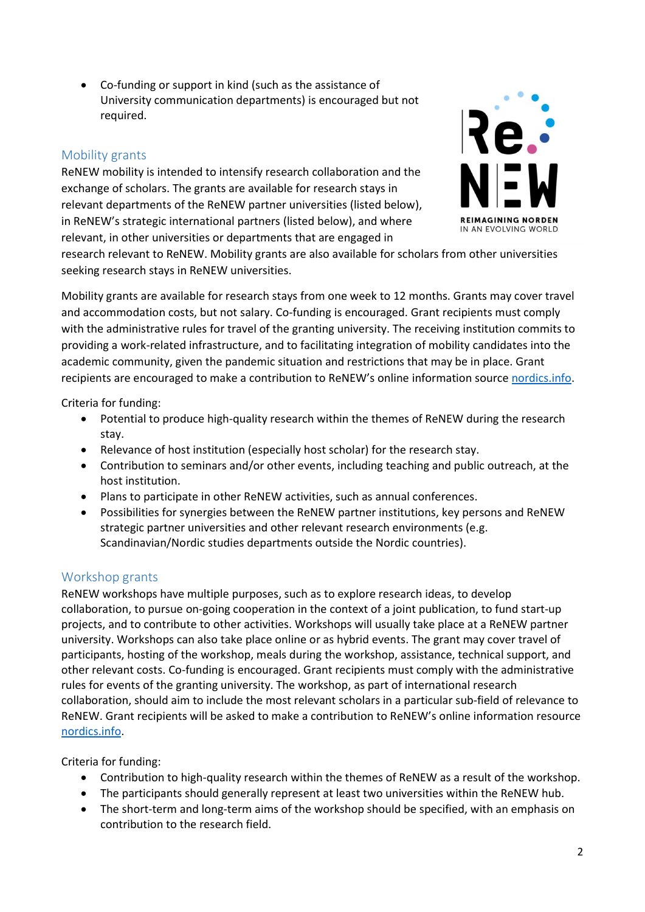Co-funding or support in kind (such as the assistance of University communication departments) is encouraged but not required.

## Mobility grants

ReNEW mobility is intended to intensify research collaboration and the exchange of scholars. The grants are available for research stays in relevant departments of the ReNEW partner universities (listed below), in ReNEW's strategic international partners (listed below), and where relevant, in other universities or departments that are engaged in



research relevant to ReNEW. Mobility grants are also available for scholars from other universities seeking research stays in ReNEW universities.

Mobility grants are available for research stays from one week to 12 months. Grants may cover travel and accommodation costs, but not salary. Co-funding is encouraged. Grant recipients must comply with the administrative rules for travel of the granting university. The receiving institution commits to providing a work-related infrastructure, and to facilitating integration of mobility candidates into the academic community, given the pandemic situation and restrictions that may be in place. Grant recipients are encouraged to make a contribution to ReNEW's online information source nordics.info.

Criteria for funding:

- Potential to produce high-quality research within the themes of ReNEW during the research stay.
- Relevance of host institution (especially host scholar) for the research stay.
- Contribution to seminars and/or other events, including teaching and public outreach, at the host institution.
- Plans to participate in other ReNEW activities, such as annual conferences.
- Possibilities for synergies between the ReNEW partner institutions, key persons and ReNEW strategic partner universities and other relevant research environments (e.g. Scandinavian/Nordic studies departments outside the Nordic countries).

# Workshop grants

ReNEW workshops have multiple purposes, such as to explore research ideas, to develop collaboration, to pursue on-going cooperation in the context of a joint publication, to fund start-up projects, and to contribute to other activities. Workshops will usually take place at a ReNEW partner university. Workshops can also take place online or as hybrid events. The grant may cover travel of participants, hosting of the workshop, meals during the workshop, assistance, technical support, and other relevant costs. Co-funding is encouraged. Grant recipients must comply with the administrative rules for events of the granting university. The workshop, as part of international research collaboration, should aim to include the most relevant scholars in a particular sub-field of relevance to ReNEW. Grant recipients will be asked to make a contribution to ReNEW's online information resource nordics.info.

Criteria for funding:

- Contribution to high-quality research within the themes of ReNEW as a result of the workshop.
- The participants should generally represent at least two universities within the ReNEW hub.
- The short-term and long-term aims of the workshop should be specified, with an emphasis on contribution to the research field.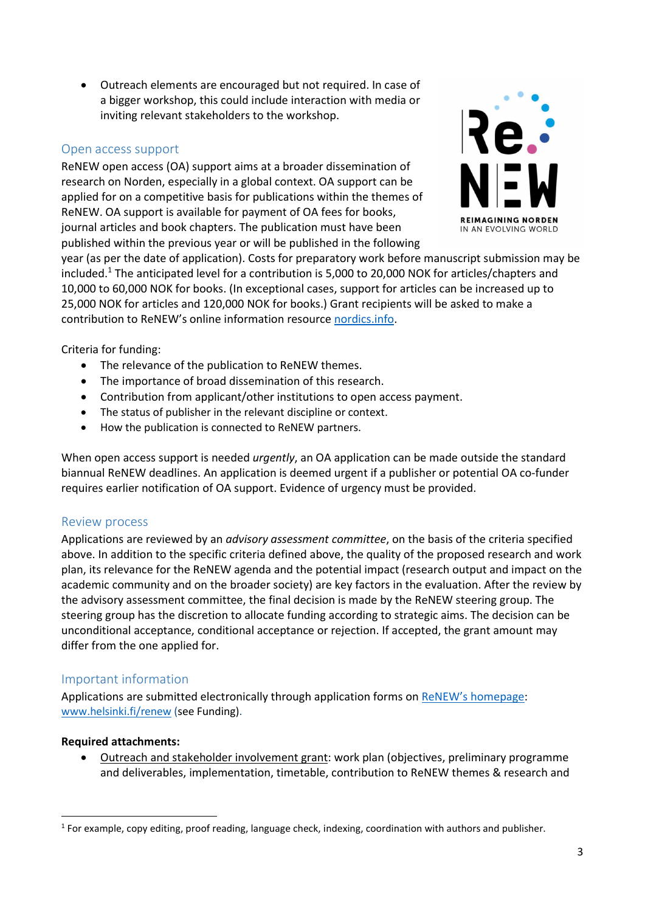Outreach elements are encouraged but not required. In case of a bigger workshop, this could include interaction with media or inviting relevant stakeholders to the workshop.

### Open access support

ReNEW open access (OA) support aims at a broader dissemination of research on Norden, especially in a global context. OA support can be applied for on a competitive basis for publications within the themes of ReNEW. OA support is available for payment of OA fees for books, journal articles and book chapters. The publication must have been published within the previous year or will be published in the following



year (as per the date of application). Costs for preparatory work before manuscript submission may be included.<sup>1</sup> The anticipated level for a contribution is 5,000 to 20,000 NOK for articles/chapters and 10,000 to 60,000 NOK for books. (In exceptional cases, support for articles can be increased up to 25,000 NOK for articles and 120,000 NOK for books.) Grant recipients will be asked to make a contribution to ReNEW's online information resource nordics.info.

Criteria for funding:

- The relevance of the publication to ReNEW themes.
- The importance of broad dissemination of this research.
- Contribution from applicant/other institutions to open access payment.
- The status of publisher in the relevant discipline or context.
- How the publication is connected to ReNEW partners.

When open access support is needed *urgently*, an OA application can be made outside the standard biannual ReNEW deadlines. An application is deemed urgent if a publisher or potential OA co-funder requires earlier notification of OA support. Evidence of urgency must be provided.

#### Review process

Applications are reviewed by an *advisory assessment committee*, on the basis of the criteria specified above. In addition to the specific criteria defined above, the quality of the proposed research and work plan, its relevance for the ReNEW agenda and the potential impact (research output and impact on the academic community and on the broader society) are key factors in the evaluation. After the review by the advisory assessment committee, the final decision is made by the ReNEW steering group. The steering group has the discretion to allocate funding according to strategic aims. The decision can be unconditional acceptance, conditional acceptance or rejection. If accepted, the grant amount may differ from the one applied for.

## Important information

Applications are submitted electronically through application forms on ReNEW's homepage: www.helsinki.fi/renew (see Funding).

#### Required attachments:

-

 Outreach and stakeholder involvement grant: work plan (objectives, preliminary programme and deliverables, implementation, timetable, contribution to ReNEW themes & research and

<sup>&</sup>lt;sup>1</sup> For example, copy editing, proof reading, language check, indexing, coordination with authors and publisher.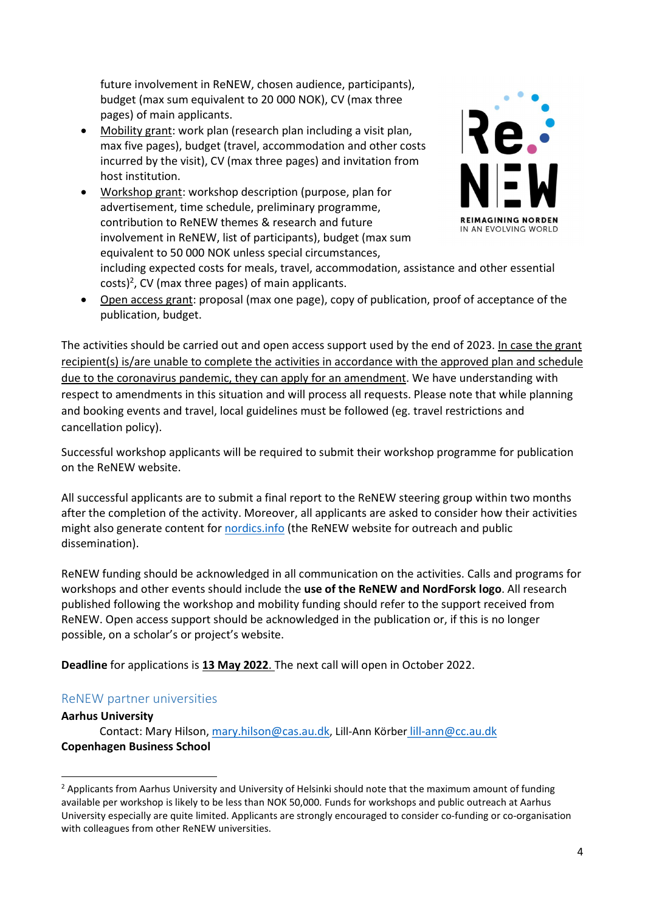future involvement in ReNEW, chosen audience, participants), budget (max sum equivalent to 20 000 NOK), CV (max three pages) of main applicants.

- Mobility grant: work plan (research plan including a visit plan, max five pages), budget (travel, accommodation and other costs incurred by the visit), CV (max three pages) and invitation from host institution.
- Workshop grant: workshop description (purpose, plan for advertisement, time schedule, preliminary programme, contribution to ReNEW themes & research and future involvement in ReNEW, list of participants), budget (max sum equivalent to 50 000 NOK unless special circumstances,



including expected costs for meals, travel, accommodation, assistance and other essential costs)<sup>2</sup>, CV (max three pages) of main applicants.

 Open access grant: proposal (max one page), copy of publication, proof of acceptance of the publication, budget.

The activities should be carried out and open access support used by the end of 2023. In case the grant recipient(s) is/are unable to complete the activities in accordance with the approved plan and schedule due to the coronavirus pandemic, they can apply for an amendment. We have understanding with respect to amendments in this situation and will process all requests. Please note that while planning and booking events and travel, local guidelines must be followed (eg. travel restrictions and cancellation policy).

Successful workshop applicants will be required to submit their workshop programme for publication on the ReNEW website.

All successful applicants are to submit a final report to the ReNEW steering group within two months after the completion of the activity. Moreover, all applicants are asked to consider how their activities might also generate content for nordics.info (the ReNEW website for outreach and public dissemination).

ReNEW funding should be acknowledged in all communication on the activities. Calls and programs for workshops and other events should include the use of the ReNEW and NordForsk logo. All research published following the workshop and mobility funding should refer to the support received from ReNEW. Open access support should be acknowledged in the publication or, if this is no longer possible, on a scholar's or project's website.

Deadline for applications is 13 May 2022. The next call will open in October 2022.

# ReNEW partner universities

#### Aarhus University

-

Contact: Mary Hilson, mary.hilson@cas.au.dk, Lill-Ann Körber lill-ann@cc.au.dk Copenhagen Business School

<sup>&</sup>lt;sup>2</sup> Applicants from Aarhus University and University of Helsinki should note that the maximum amount of funding available per workshop is likely to be less than NOK 50,000. Funds for workshops and public outreach at Aarhus University especially are quite limited. Applicants are strongly encouraged to consider co-funding or co-organisation with colleagues from other ReNEW universities.